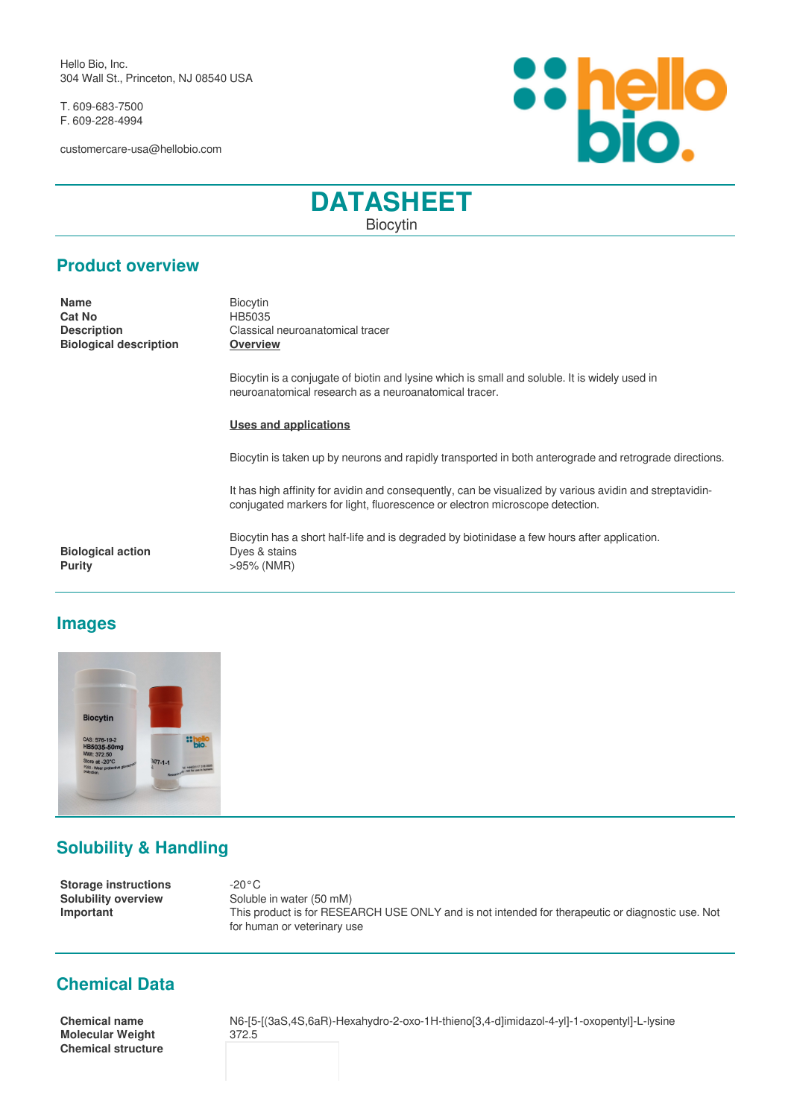Hello Bio, Inc. 304 Wall St., Princeton, NJ 08540 USA

T. 609-683-7500 F. 609-228-4994

customercare-usa@hellobio.com



# **DATASHEET** Biocytin

### **Product overview**

**Name** Biocytin **Cat No** HB5035 **Biological description Overview**

**Description Classical neuroanatomical tracer** 

Biocytin is a conjugate of biotin and lysine which is small and soluble. It is widely used in neuroanatomical research as a neuroanatomical tracer.

Biocytin has a short half-life and is degraded by biotinidase a few hours after application.

#### **Uses and applications**

Biocytin is taken up by neurons and rapidly transported in both anterograde and retrograde directions.

It has high affinity for avidin and consequently, can be visualized by various avidin and streptavidinconjugated markers for light, fluorescence or electron microscope detection.

**Biological action** Dyes & stains **Purity**  $>95\%$  (NMR)

### **Images**



## **Solubility & Handling**

**Storage instructions** -20°C **Solubility overview** Soluble in water (50 mM) **Important** This product is for RESEARCH USE ONLY and is not intended for therapeutic or diagnostic use. Not for human or veterinary use

## **Chemical Data**

**Molecular Weight** 372.5 **Chemical structure**

**Chemical name** N6-[5-[(3aS,4S,6aR)-Hexahydro-2-oxo-1H-thieno[3,4-d]imidazol-4-yl]-1-oxopentyl]-L-lysine